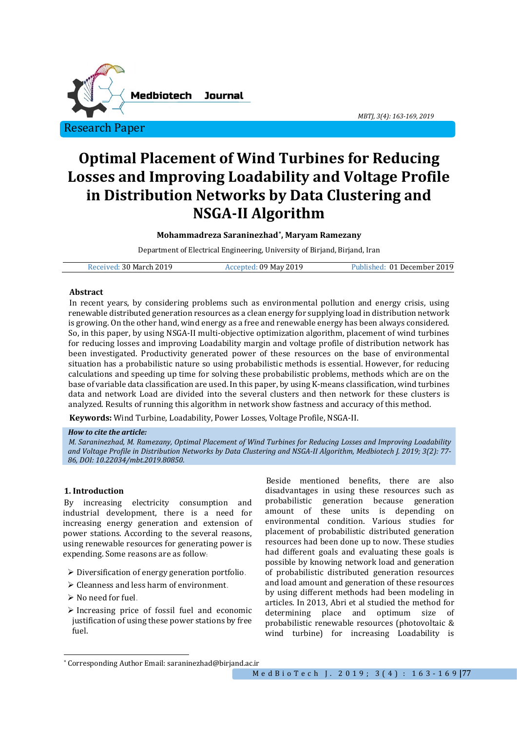

*MBTJ, 3(4): 163-169, 2019* 

# **Optimal Placement of Wind Turbines for Reducing Losses and Improving Loadability and Voltage Profile in Distribution Networks by Data Clustering and NSGA-II Algorithm**

# **Mohammadreza Saraninezhad[\\*,](#page-0-0) Maryam Ramezany**

Department of Electrical Engineering, University of Birjand, Birjand, Iran

| Received: 30 March 2019 | ccepted: 09 May 2019، | Published: 01 December 2019 |
|-------------------------|-----------------------|-----------------------------|
|                         |                       |                             |

#### **Abstract**

In recent years, by considering problems such as environmental pollution and energy crisis, using renewable distributed generation resources as a clean energy for supplying load in distribution network is growing. On the other hand, wind energy as a free and renewable energy has been always considered. So, in this paper, by using NSGA-II multi-objective optimization algorithm, placement of wind turbines for reducing losses and improving Loadability margin and voltage profile of distribution network has been investigated. Productivity generated power of these resources on the base of environmental situation has a probabilistic nature so using probabilistic methods is essential. However, for reducing calculations and speeding up time for solving these probabilistic problems, methods which are on the base of variable data classification are used. In this paper, by using K-means classification, wind turbines data and network Load are divided into the several clusters and then network for these clusters is analyzed. Results of running this algorithm in network show fastness and accuracy of this method.

**Keywords:** Wind Turbine, Loadability, Power Losses, Voltage Profile, NSGA-II.

## *How to cite the article:*

*M. Saraninezhad, M. Ramezany, Optimal Placement of Wind Turbines for Reducing Losses and Improving Loadability and Voltage Profile in Distribution Networks by Data Clustering and NSGA-II Algorithm, Medbiotech J. 2019; 3(2): 77- 86, DOI: 10.22034/mbt.2019.80850.*

# **1. Introduction**

By increasing electricity consumption and industrial development, there is a need for increasing energy generation and extension of power stations. According to the several reasons, using renewable resources for generating power is expending. Some reasons are as follow:

- $\triangleright$  Diversification of energy generation portfolio.
- Cleanness and less harm of environment.
- $\triangleright$  No need for fuel.
- $\triangleright$  Increasing price of fossil fuel and economic justification of using these power stations by free fuel.

Beside mentioned benefits, there are also disadvantages in using these resources such as<br>probabilistic generation because generation probabilistic generation because generation these units is environmental condition. Various studies for placement of probabilistic distributed generation resources had been done up to now. These studies had different goals and evaluating these goals is possible by knowing network load and generation of probabilistic distributed generation resources and load amount and generation of these resources by using different methods had been modeling in articles. In 2013, Abri et al studied the method for determining place and optimum size probabilistic renewable resources (photovoltaic & wind turbine) for increasing Loadability is

<span id="page-0-0"></span><sup>\*</sup> Corresponding Author Email: saraninezhad@birjand.ac.ir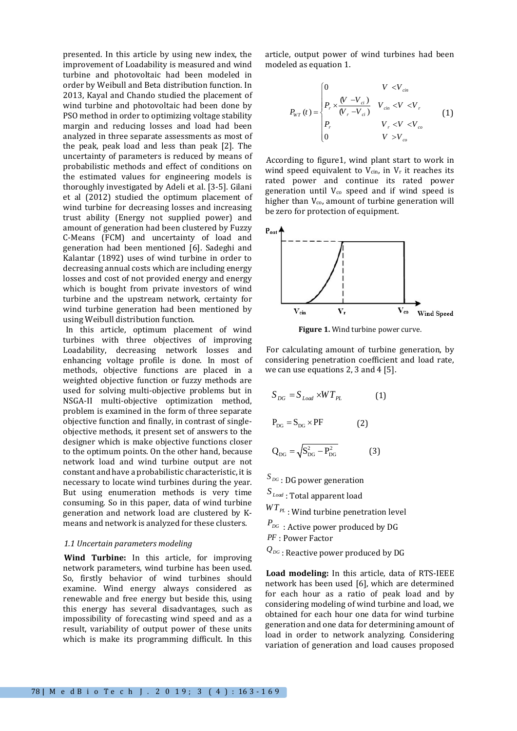presented. In this article by using new index, the improvement of Loadability is measured and wind turbine and photovoltaic had been modeled in order by Weibull and Beta distribution function. In 2013, Kayal and Chando studied the placement of wind turbine and photovoltaic had been done by PSO method in order to optimizing voltage stability margin and reducing losses and load had been analyzed in three separate assessments as most of the peak, peak load and less than peak [2]. The uncertainty of parameters is reduced by means of probabilistic methods and effect of conditions on the estimated values for engineering models is thoroughly investigated by Adeli et al. [3-5]. Gilani et al (2012) studied the optimum placement of wind turbine for decreasing losses and increasing trust ability (Energy not supplied power) and amount of generation had been clustered by Fuzzy C-Means (FCM) and uncertainty of load and generation had been mentioned [6]. Sadeghi and Kalantar (1892) uses of wind turbine in order to decreasing annual costs which are including energy losses and cost of not provided energy and energy which is bought from private investors of wind turbine and the upstream network, certainty for wind turbine generation had been mentioned by using Weibull distribution function.

In this article, optimum placement of wind turbines with three objectives of improving Loadability, decreasing network losses and enhancing voltage profile is done. In most of methods, objective functions are placed in a weighted objective function or fuzzy methods are used for solving multi-objective problems but in NSGA-II multi-objective optimization method, problem is examined in the form of three separate objective function and finally, in contrast of singleobjective methods, it present set of answers to the designer which is make objective functions closer to the optimum points. On the other hand, because network load and wind turbine output are not constant and have a probabilistic characteristic, it is necessary to locate wind turbines during the year. But using enumeration methods is very time consuming. So in this paper, data of wind turbine generation and network load are clustered by Kmeans and network is analyzed for these clusters.

#### *1.1 Uncertain parameters modeling*

**Wind Turbine:** In this article, for improving network parameters, wind turbine has been used. So, firstly behavior of wind turbines should examine. Wind energy always considered as renewable and free energy but beside this, using this energy has several disadvantages, such as impossibility of forecasting wind speed and as a result, variability of output power of these units which is make its programming difficult. In this

article, output power of wind turbines had been modeled as equation 1.

$$
P_{WT}(t) = \begin{cases} 0 & V < V_{cin} \\ P_r \times \frac{(V - V_{ci})}{(V_r - V_{ci})} & V_{cin} < V < V_r \\ P_r & V_r < V < V_{co} \\ 0 & V > V_{co} \end{cases}
$$
(1)

According to figure1, wind plant start to work in wind speed equivalent to  $V_{\text{cin}}$ , in  $V_r$  it reaches its rated power and continue its rated power generation until Vco speed and if wind speed is higher than  $V_{\text{co}}$ , amount of turbine generation will be zero for protection of equipment.



**Figure 1.** Wind turbine power curve.

For calculating amount of turbine generation, by considering penetration coefficient and load rate, we can use equations 2, 3 and 4 [5].

$$
S_{DG} = S_{Load} \times WT_{PL}
$$
 (1)  

$$
P_{DG} = S_{DG} \times PF
$$
 (2)

$$
Q_{DG} = \sqrt{S_{DG}^2 - P_{DG}^2}
$$
 (3)

*DG <sup>S</sup>* : DG power generation

 $S_{\mathit{Load}}$  : Total apparent load

 $WT_{PL}$  : Wind turbine penetration level

 $P_{DG}$ : Active power produced by DG

*PF* : Power Factor

 $Q_{DG}$  : Reactive power produced by DG

**Load modeling:** In this article, data of RTS-IEEE network has been used [6], which are determined for each hour as a ratio of peak load and by considering modeling of wind turbine and load, we obtained for each hour one data for wind turbine generation and one data for determining amount of load in order to network analyzing. Considering variation of generation and load causes proposed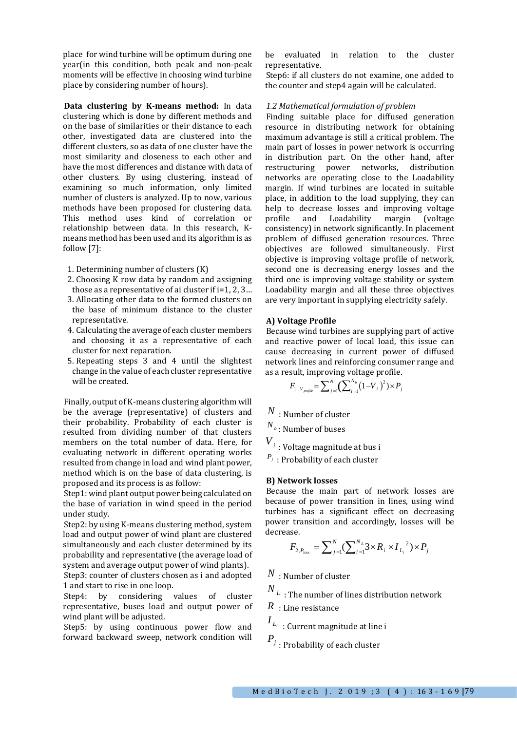place for wind turbine will be optimum during one year(in this condition, both peak and non-peak moments will be effective in choosing wind turbine place by considering number of hours).

**Data clustering by K-means method:** In data clustering which is done by different methods and on the base of similarities or their distance to each other, investigated data are clustered into the different clusters, so as data of one cluster have the most similarity and closeness to each other and have the most differences and distance with data of other clusters. By using clustering, instead of examining so much information, only limited number of clusters is analyzed. Up to now, various methods have been proposed for clustering data. This method uses kind of correlation or relationship between data. In this research, Kmeans method has been used and its algorithm is as follow [7]:

- 1. Determining number of clusters (K)
- 2. Choosing K row data by random and assigning those as a representative of ai cluster if i=1, 2, 3…
- 3. Allocating other data to the formed clusters on the base of minimum distance to the cluster representative.
- 4. Calculating the average of each cluster members and choosing it as a representative of each cluster for next reparation.
- 5. Repeating steps 3 and 4 until the slightest change in the value of each cluster representative will be created.

Finally, output of K-means clustering algorithm will be the average (representative) of clusters and their probability. Probability of each cluster is resulted from dividing number of that clusters members on the total number of data. Here, for evaluating network in different operating works resulted from change in load and wind plant power, method which is on the base of data clustering, is proposed and its process is as follow:

Step1: wind plant output power being calculated on the base of variation in wind speed in the period under study.

Step2: by using K-means clustering method, system load and output power of wind plant are clustered simultaneously and each cluster determined by its probability and representative (the average load of system and average output power of wind plants).

Step3: counter of clusters chosen as i and adopted 1 and start to rise in one loop.

Step4: by considering values of cluster representative, buses load and output power of wind plant will be adjusted.

Step5: by using continuous power flow and forward backward sweep, network condition will be evaluated in relation to the cluster representative.

Step6: if all clusters do not examine, one added to the counter and step4 again will be calculated.

## *1.2 Mathematical formulation of problem*

Finding suitable place for diffused generation resource in distributing network for obtaining maximum advantage is still a critical problem. The main part of losses in power network is occurring in distribution part. On the other hand, after restructuring power networks, distribution networks are operating close to the Loadability margin. If wind turbines are located in suitable place, in addition to the load supplying, they can help to decrease losses and improving voltage<br>profile and Loadability margin (voltage Loadability consistency) in network significantly. In placement problem of diffused generation resources. Three objectives are followed simultaneously. First objective is improving voltage profile of network, second one is decreasing energy losses and the third one is improving voltage stability or system Loadability margin and all these three objectives are very important in supplying electricity safely.

# **A) Voltage Profile**

Because wind turbines are supplying part of active and reactive power of local load, this issue can cause decreasing in current power of diffused network lines and reinforcing consumer range and as a result, improving voltage profile.

$$
F_{1, V_{\text{profile}}} = \sum_{j=1}^{N} \left( \sum_{i=1}^{N_b} \left( 1 - V_i \right)^2 \right) \times P_j
$$

*N* : Number of cluster

*<sup>N</sup> <sup>b</sup>* : Number of buses

 $\boldsymbol{V}_i$  : Voltage magnitude at bus i

*Pj* : Probability of each cluster

# **B) Network losses**

Because the main part of network losses are because of power transition in lines, using wind turbines has a significant effect on decreasing power transition and accordingly, losses will be decrease.

$$
F_{2,P_{loss}} = \sum_{j=1}^{N} (\sum_{i=1}^{N_L} 3 \times R_i \times I_{L_i}^2) \times P_j
$$

*N* : Number of cluster

 $N_{\lvert L \rvert}$  : The number of lines distribution network

*R* : Line resistance

 $I_{L_i}\,$  : Current magnitude at line i

*Pj* : Probability of each cluster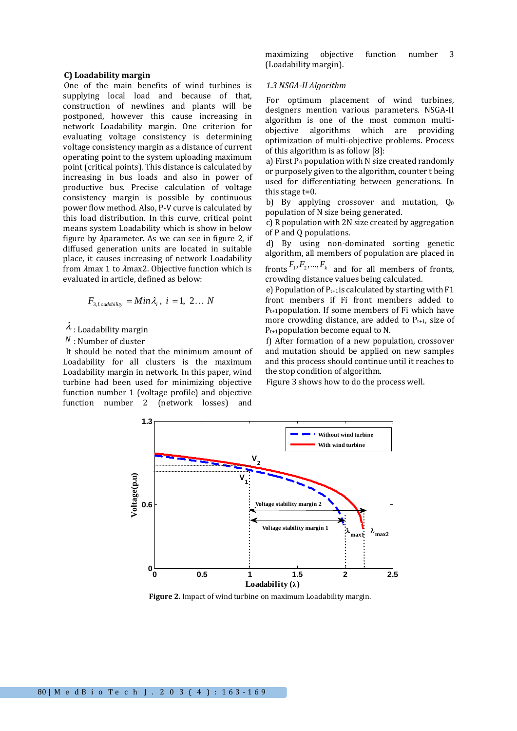#### **C) Loadability margin**

One of the main benefits of wind turbines is supplying local load and because of that, construction of newlines and plants will be postponed, however this cause increasing in network Loadability margin. One criterion for evaluating voltage consistency is determining voltage consistency margin as a distance of current operating point to the system uploading maximum point (critical points). This distance is calculated by increasing in bus loads and also in power of productive bus. Precise calculation of voltage consistency margin is possible by continuous power flow method. Also, P-V curve is calculated by this load distribution. In this curve, critical point means system Loadability which is show in below figure by  $\lambda$  parameter. As we can see in figure 2, if diffused generation units are located in suitable place, it causes increasing of network Loadability from  $\lambda$ max 1 to  $\lambda$ max2. Objective function which is evaluated in article, defined as below:

$$
F_{3, Loadability} = Min \lambda_i, i = 1, 2... N
$$

# $\lambda$  : Loadability margin

*<sup>N</sup>* : Number of cluster

It should be noted that the minimum amount of Loadability for all clusters is the maximum Loadability margin in network. In this paper, wind turbine had been used for minimizing objective function number 1 (voltage profile) and objective<br>function number 2 (network losses) and function number  $2$  (network losses)

maximizing objective function number 3 (Loadability margin).

#### *1.3 NSGA-II Algorithm*

For optimum placement of wind turbines, designers mention various parameters. NSGA-II algorithm is one of the most common multiobjective algorithms which are providing optimization of multi-objective problems. Process of this algorithm is as follow [8]:

a) First  $P_0$  population with N size created randomly or purposely given to the algorithm, counter t being used for differentiating between generations. In this stage t=0.

b) By applying crossover and mutation,  $Q_0$ population of N size being generated.

c) R population with 2N size created by aggregation of P and Q populations.

d) By using non-dominated sorting genetic algorithm, all members of population are placed in

fronts  $F_1, F_2, ..., F_k$  and for all members of fronts, crowding distance values being calculated.

e) Population of  $P_{t+1}$ is calculated by starting with F1 front members if Fi front members added to  $P_{t+1}$ population. If some members of Fi which have more crowding distance, are added to  $P_{t+1}$ , size of Pt+1population become equal to N.

f) After formation of a new population, crossover and mutation should be applied on new samples and this process should continue until it reaches to the stop condition of algorithm.

Figure 3 shows how to do the process well.



**Figure 2.** Impact of wind turbine on maximum Loadability margin.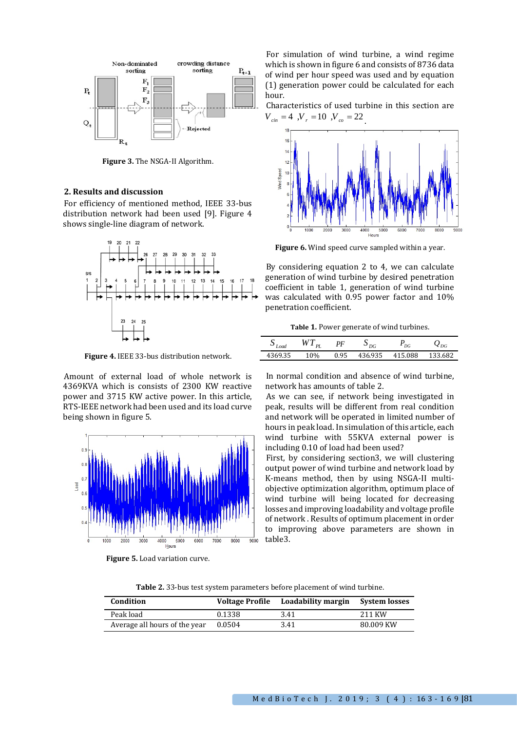

**Figure 3.** The NSGA-II Algorithm.

#### **2. Results and discussion**

For efficiency of mentioned method, IEEE 33-bus distribution network had been used [9]. Figure 4 shows single-line diagram of network.



**Figure 4.** IEEE 33-bus distribution network.

Amount of external load of whole network is 4369KVA which is consists of 2300 KW reactive power and 3715 KW active power. In this article, RTS-IEEE network had been used and its load curve being shown in figure 5.



**Figure 5.** Load variation curve.

For simulation of wind turbine, a wind regime which is shown in figure 6 and consists of 8736 data of wind per hour speed was used and by equation (1) generation power could be calculated for each hour.

Characteristics of used turbine in this section are  $V_{\text{cm}} = 4$ ,  $V_{\text{r}} = 10$ ,  $V_{\text{cm}} = 22$ 



**Figure 6.** Wind speed curve sampled within a year.

By considering equation 2 to 4, we can calculate generation of wind turbine by desired penetration coefficient in table 1, generation of wind turbine was calculated with 0.95 power factor and 10% penetration coefficient.

**Table 1.** Power generate of wind turbines.

| Load    | $\overline{M/T}$<br>DI | PF   | DG      | DG      | $\boldsymbol{\mathcal{L}}_{DG}$ |
|---------|------------------------|------|---------|---------|---------------------------------|
| 4369.35 | 10%                    | 0.95 | 436.935 | 415.088 | 133.682                         |

In normal condition and absence of wind turbine, network has amounts of table 2.

As we can see, if network being investigated in peak, results will be different from real condition and network will be operated in limited number of hours in peak load. In simulation of this article, each wind turbine with 55KVA external power is including 0.10 of load had been used?

First, by considering section3, we will clustering output power of wind turbine and network load by K-means method, then by using NSGA-II multiobjective optimization algorithm, optimum place of wind turbine will being located for decreasing losses and improving loadability and voltage profile of network . Results of optimum placement in order to improving above parameters are shown in table3.

**Table 2.** 33-bus test system parameters before placement of wind turbine.

| Condition                     | <b>Voltage Profile</b> | Loadability margin System losses |           |
|-------------------------------|------------------------|----------------------------------|-----------|
| Peak load                     | 0.1338                 | 3.41                             | 211 KW    |
| Average all hours of the year | 0.0504                 | 3.41                             | 80.009 KW |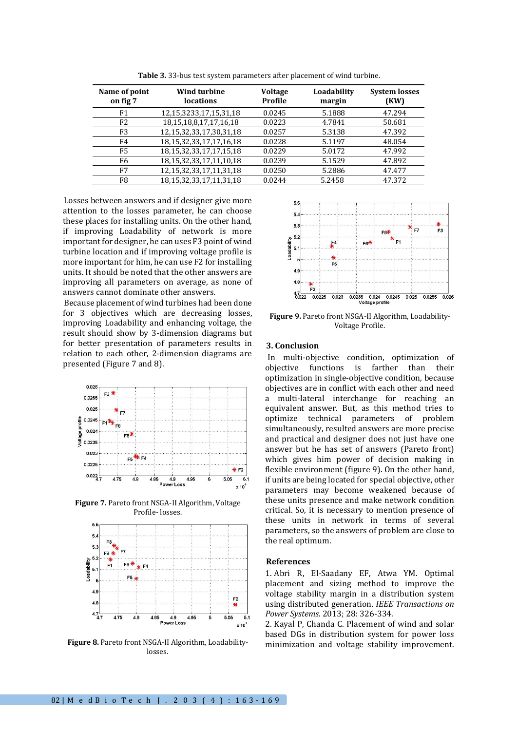| Name of point<br>on fig 7 | <b>Wind turbine</b><br><b>locations</b> | <b>Voltage</b><br>Profile | Loadability<br>margin | <b>System losses</b><br>(KW) |
|---------------------------|-----------------------------------------|---------------------------|-----------------------|------------------------------|
| F1                        | 12, 15, 3233, 17, 15, 31, 18            | 0.0245                    | 5.1888                | 47.294                       |
| F <sub>2</sub>            | 18, 15, 18, 8, 17, 17, 16, 18           | 0.0223                    | 4.7841                | 50.681                       |
| F <sub>3</sub>            | 12,15,32,33,17,30,31,18                 | 0.0257                    | 5.3138                | 47.392                       |
| F4                        | 18, 15, 32, 33, 17, 17, 16, 18          | 0.0228                    | 5.1197                | 48.054                       |
| F5                        | 18, 15, 32, 33, 17, 17, 15, 18          | 0.0229                    | 5.0172                | 47.992                       |
| F6                        | 18, 15, 32, 33, 17, 11, 10, 18          | 0.0239                    | 5.1529                | 47.892                       |
| F7                        | 12, 15, 32, 33, 17, 11, 31, 18          | 0.0250                    | 5.2886                | 47.477                       |
| F8                        | 18, 15, 32, 33, 17, 11, 31, 18          | 0.0244                    | 5.2458                | 47.372                       |

**Table 3.** 33-bus test system parameters after placement of wind turbine.

Losses between answers and if designer give more attention to the losses parameter, he can choose these places for installing units. On the other hand, if improving Loadability of network is more important for designer, he can uses F3 point of wind turbine location and if improving voltage profile is more important for him, he can use F2 for installing units. It should be noted that the other answers are improving all parameters on average, as none of answers cannot dominate other answers.

Because placement of wind turbines had been done for 3 objectives which are decreasing losses, improving Loadability and enhancing voltage, the result should show by 3-dimension diagrams but for better presentation of parameters results in relation to each other, 2-dimension diagrams are presented (Figure 7 and 8).



**Figure 7.** Pareto front NSGA-II Algorithm, Voltage Profile- losses.



**Figure 8.** Pareto front NSGA-II Algorithm, Loadabilitylosses.



**Figure 9.** Pareto front NSGA-II Algorithm, Loadability-Voltage Profile.

#### **3. Conclusion**

In multi-objective condition, optimization of objective functions is farther than their optimization in single-objective condition, because objectives are in conflict with each other and need a multi-lateral interchange for reaching an equivalent answer. But, as this method tries to optimize technical parameters of problem simultaneously, resulted answers are more precise and practical and designer does not just have one answer but he has set of answers (Pareto front) which gives him power of decision making in flexible environment (figure 9). On the other hand, if units are being located for special objective, other parameters may become weakened because of these units presence and make network condition critical. So, it is necessary to mention presence of these units in network in terms of several parameters, so the answers of problem are close to the real optimum.

#### **References**

1. Abri R, El-Saadany EF, Atwa YM. Optimal placement and sizing method to improve the voltage stability margin in a distribution system using distributed generation. *IEEE Transactions on Power Systems*. 2013; 28: 326-334.

2. Kayal P, Chanda C. Placement of wind and solar based DGs in distribution system for power loss minimization and voltage stability improvement.